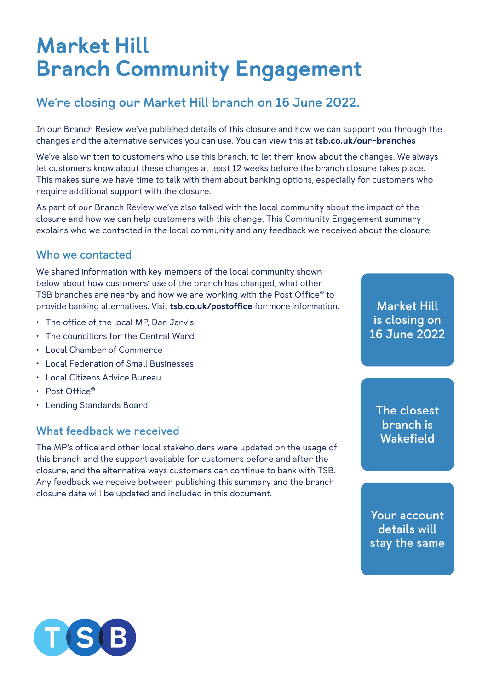# Market Hill Branch Community Engagement

## **We're closing our Market Hill branch on 16 June 2022.**

In our Branch Review we've published details of this closure and how we can support you through the changes and the alternative services you can use. You can view this at [tsb.co.uk/our-branches](http://tsb.co.uk/our-branches)

We've also written to customers who use this branch, to let them know about the changes. We always let customers know about these changes at least 12 weeks before the branch closure takes place. This makes sure we have time to talk with them about banking options, especially for customers who require additional support with the closure.

As part of our Branch Review we've also talked with the local community about the impact of the closure and how we can help customers with this change. This Community Engagement summary explains who we contacted in the local community and any feedback we received about the closure.

#### **Who we contacted**

We shared information with key members of the local community shown below about how customers' use of the branch has changed, what other TSB branches are nearby and how we are working with the Post Office® to provide banking alternatives. Visit [tsb.co.uk/postoffice](http://tsb.co.uk/postoffice) for more information.

- The office of the local MP, Dan Jarvis
- The councillors for the Central Ward
- Local Chamber of Commerce
- Local Federation of Small Businesses
- Local Citizens Advice Bureau
- Post Office®
- Lending Standards Board

#### **What feedback we received**

The MP's office and other local stakeholders were updated on the usage of this branch and the support available for customers before and after the closure, and the alternative ways customers can continue to bank with TSB. Any feedback we receive between publishing this summary and the branch closure date will be updated and included in this document.

**Market Hill is closing on 16 June 2022**

**The closest branch is Wakefield**

**Your account details will stay the same**